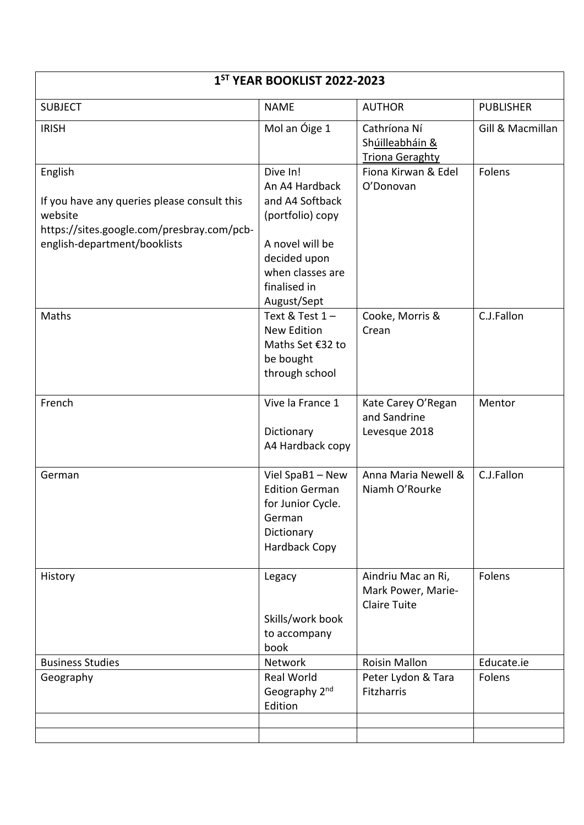| 1 <sup>ST</sup> YEAR BOOKLIST 2022-2023                                                                                                         |                                                                                                                                                         |                                                                 |                  |  |
|-------------------------------------------------------------------------------------------------------------------------------------------------|---------------------------------------------------------------------------------------------------------------------------------------------------------|-----------------------------------------------------------------|------------------|--|
| <b>SUBJECT</b>                                                                                                                                  | <b>NAME</b>                                                                                                                                             | <b>AUTHOR</b>                                                   | <b>PUBLISHER</b> |  |
| <b>IRISH</b>                                                                                                                                    | Mol an Óige 1                                                                                                                                           | Cathríona Ní<br>Shúilleabháin &<br><b>Triona Geraghty</b>       | Gill & Macmillan |  |
| English<br>If you have any queries please consult this<br>website<br>https://sites.google.com/presbray.com/pcb-<br>english-department/booklists | Dive In!<br>An A4 Hardback<br>and A4 Softback<br>(portfolio) copy<br>A novel will be<br>decided upon<br>when classes are<br>finalised in<br>August/Sept | Fiona Kirwan & Edel<br>O'Donovan                                | Folens           |  |
| Maths                                                                                                                                           | Text & Test $1 -$<br><b>New Edition</b><br>Maths Set €32 to<br>be bought<br>through school                                                              | Cooke, Morris &<br>Crean                                        | C.J.Fallon       |  |
| French                                                                                                                                          | Vive la France 1<br>Dictionary<br>A4 Hardback copy                                                                                                      | Kate Carey O'Regan<br>and Sandrine<br>Levesque 2018             | Mentor           |  |
| German                                                                                                                                          | Viel SpaB1 - New<br><b>Edition German</b><br>for Junior Cycle.<br>German<br>Dictionary<br><b>Hardback Copy</b>                                          | Anna Maria Newell &<br>Niamh O'Rourke                           | C.J.Fallon       |  |
| History                                                                                                                                         | Legacy<br>Skills/work book<br>to accompany<br>book                                                                                                      | Aindriu Mac an Ri,<br>Mark Power, Marie-<br><b>Claire Tuite</b> | Folens           |  |
| <b>Business Studies</b>                                                                                                                         | Network                                                                                                                                                 | <b>Roisin Mallon</b>                                            | Educate.ie       |  |
| Geography                                                                                                                                       | Real World<br>Geography 2 <sup>nd</sup><br>Edition                                                                                                      | Peter Lydon & Tara<br>Fitzharris                                | Folens           |  |
|                                                                                                                                                 |                                                                                                                                                         |                                                                 |                  |  |